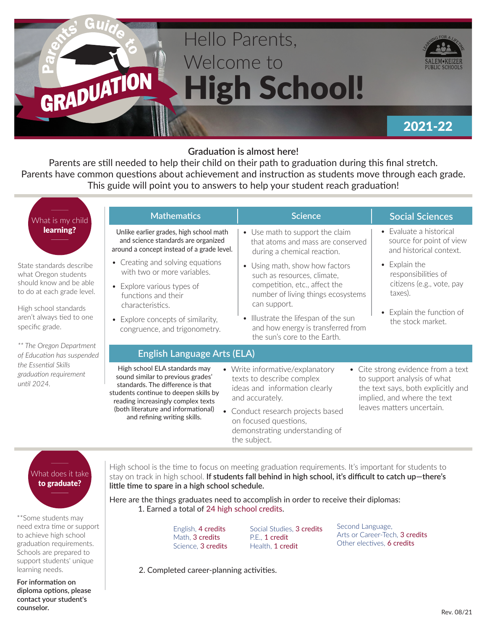

### **Graduation is almost here!**

Parents are still needed to help their child on their path to graduation during this final stretch. Parents have common questions about achievement and instruction as students move through each grade. This guide will point you to answers to help your student reach graduation!

| What is my child                                                                                                                                                                   | <b>Mathematics</b>                                                                                                                                                                                                                                            | <b>Science</b>                                                                                                                                                                                                                    | <b>Social Sciences</b>                                                                                                                                              |
|------------------------------------------------------------------------------------------------------------------------------------------------------------------------------------|---------------------------------------------------------------------------------------------------------------------------------------------------------------------------------------------------------------------------------------------------------------|-----------------------------------------------------------------------------------------------------------------------------------------------------------------------------------------------------------------------------------|---------------------------------------------------------------------------------------------------------------------------------------------------------------------|
| learning?                                                                                                                                                                          | Unlike earlier grades, high school math<br>and science standards are organized<br>around a concept instead of a grade level.                                                                                                                                  | • Use math to support the claim<br>that atoms and mass are conserved<br>during a chemical reaction.                                                                                                                               | • Evaluate a historical<br>source for point of view<br>and historical context.                                                                                      |
| State standards describe<br>what Oregon students<br>should know and be able<br>to do at each grade level.<br>High school standards<br>aren't always tied to one<br>specific grade. | • Creating and solving equations<br>with two or more variables.                                                                                                                                                                                               | • Using math, show how factors<br>such as resources, climate,                                                                                                                                                                     | • Explain the<br>responsibilities of                                                                                                                                |
|                                                                                                                                                                                    | • Explore various types of<br>functions and their                                                                                                                                                                                                             | competition, etc., affect the<br>taxes).<br>number of living things ecosystems<br>can support.<br>• Illustrate the lifespan of the sun<br>the stock market.<br>and how energy is transferred from<br>the sun's core to the Earth. | citizens (e.g., vote, pay                                                                                                                                           |
|                                                                                                                                                                                    | characteristics.<br>• Explore concepts of similarity,<br>congruence, and trigonometry.                                                                                                                                                                        |                                                                                                                                                                                                                                   | Explain the function of                                                                                                                                             |
| ** The Oregon Department<br>of Education has suspended<br>the Essential Skills<br>graduation requirement<br>until 2024.                                                            | <b>English Language Arts (ELA)</b>                                                                                                                                                                                                                            |                                                                                                                                                                                                                                   |                                                                                                                                                                     |
|                                                                                                                                                                                    | High school ELA standards may<br>sound similar to previous grades'<br>standards. The difference is that<br>students continue to deepen skills by<br>reading increasingly complex texts<br>(both literature and informational)<br>and refining writing skills. | • Write informative/explanatory<br>texts to describe complex<br>ideas and information clearly<br>and accurately.<br>• Conduct research projects based<br>on focused questions,<br>demonstrating understanding of                  | • Cite strong evidence from a text<br>to support analysis of what<br>the text says, both explicitly and<br>implied, and where the text<br>leaves matters uncertain. |

# What does it take to graduate?

\*\*Some students may need extra time or support to achieve high school graduation requirements. Schools are prepared to support students' unique learning needs.

**For information on diploma options, please contact your student's counselor.**

High school is the time to focus on meeting graduation requirements. It's important for students to stay on track in high school. **If students fall behind in high school, it's difficult to catch up—there's little time to spare in a high school schedule.**

Here are the things graduates need to accomplish in order to receive their diplomas: 1. Earned a total of 24 high school credits.

the subject.

English, 4 credits Math, 3 credits Science, 3 credits

Social Studies, 3 credits P.E., 1 credit Health, 1 credit

Second Language, Arts or Career-Tech, 3 credits Other electives, 6 credits

 2. Completed career-planning activities.